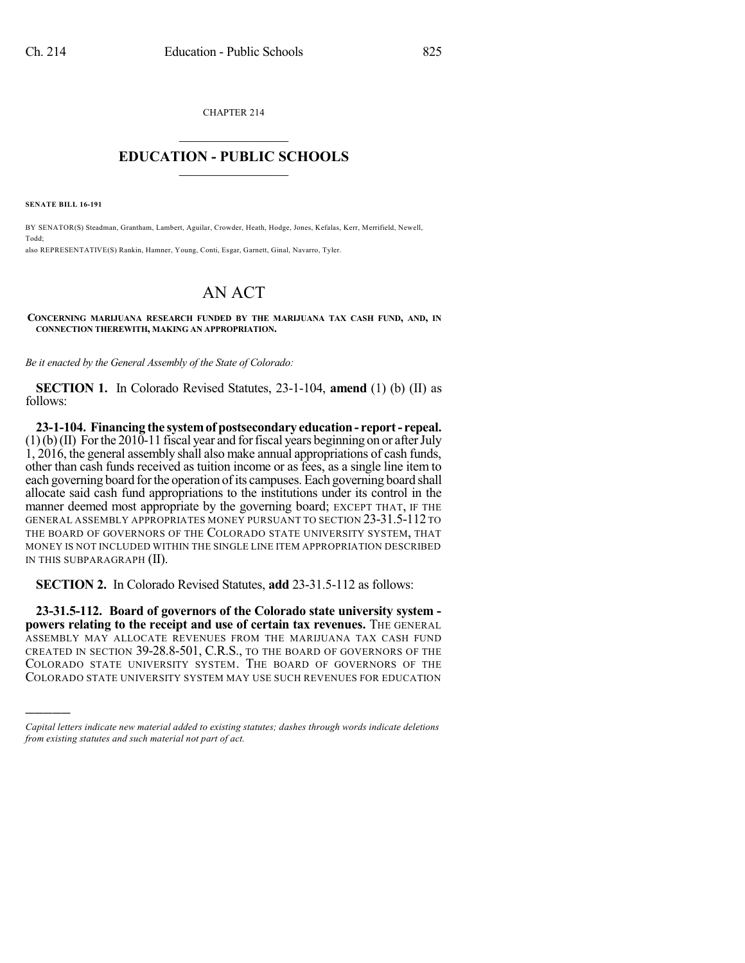CHAPTER 214  $\mathcal{L}_\text{max}$  . The set of the set of the set of the set of the set of the set of the set of the set of the set of the set of the set of the set of the set of the set of the set of the set of the set of the set of the set

## **EDUCATION - PUBLIC SCHOOLS**  $\_$   $\_$   $\_$   $\_$   $\_$   $\_$   $\_$   $\_$   $\_$

**SENATE BILL 16-191**

)))))

BY SENATOR(S) Steadman, Grantham, Lambert, Aguilar, Crowder, Heath, Hodge, Jones, Kefalas, Kerr, Merrifield, Newell, Todd; also REPRESENTATIVE(S) Rankin, Hamner, Young, Conti, Esgar, Garnett, Ginal, Navarro, Tyler.

## AN ACT

**CONCERNING MARIJUANA RESEARCH FUNDED BY THE MARIJUANA TAX CASH FUND, AND, IN CONNECTION THEREWITH, MAKING AN APPROPRIATION.**

*Be it enacted by the General Assembly of the State of Colorado:*

**SECTION 1.** In Colorado Revised Statutes, 23-1-104, **amend** (1) (b) (II) as follows:

**23-1-104. Financing the systemof postsecondary education- report- repeal.**  $(1)(b)(II)$  For the 2010-11 fiscal year and for fiscal years beginning on or after July 1, 2016, the general assembly shall also make annual appropriations of cash funds, other than cash funds received as tuition income or as fees, as a single line item to each governing board for the operation of its campuses. Each governing board shall allocate said cash fund appropriations to the institutions under its control in the manner deemed most appropriate by the governing board; EXCEPT THAT, IF THE GENERAL ASSEMBLY APPROPRIATES MONEY PURSUANT TO SECTION 23-31.5-112 TO THE BOARD OF GOVERNORS OF THE COLORADO STATE UNIVERSITY SYSTEM, THAT MONEY IS NOT INCLUDED WITHIN THE SINGLE LINE ITEM APPROPRIATION DESCRIBED IN THIS SUBPARAGRAPH (II).

**SECTION 2.** In Colorado Revised Statutes, **add** 23-31.5-112 as follows:

**23-31.5-112. Board of governors of the Colorado state university system powers relating to the receipt and use of certain tax revenues.** THE GENERAL ASSEMBLY MAY ALLOCATE REVENUES FROM THE MARIJUANA TAX CASH FUND CREATED IN SECTION 39-28.8-501, C.R.S., TO THE BOARD OF GOVERNORS OF THE COLORADO STATE UNIVERSITY SYSTEM. THE BOARD OF GOVERNORS OF THE COLORADO STATE UNIVERSITY SYSTEM MAY USE SUCH REVENUES FOR EDUCATION

*Capital letters indicate new material added to existing statutes; dashes through words indicate deletions from existing statutes and such material not part of act.*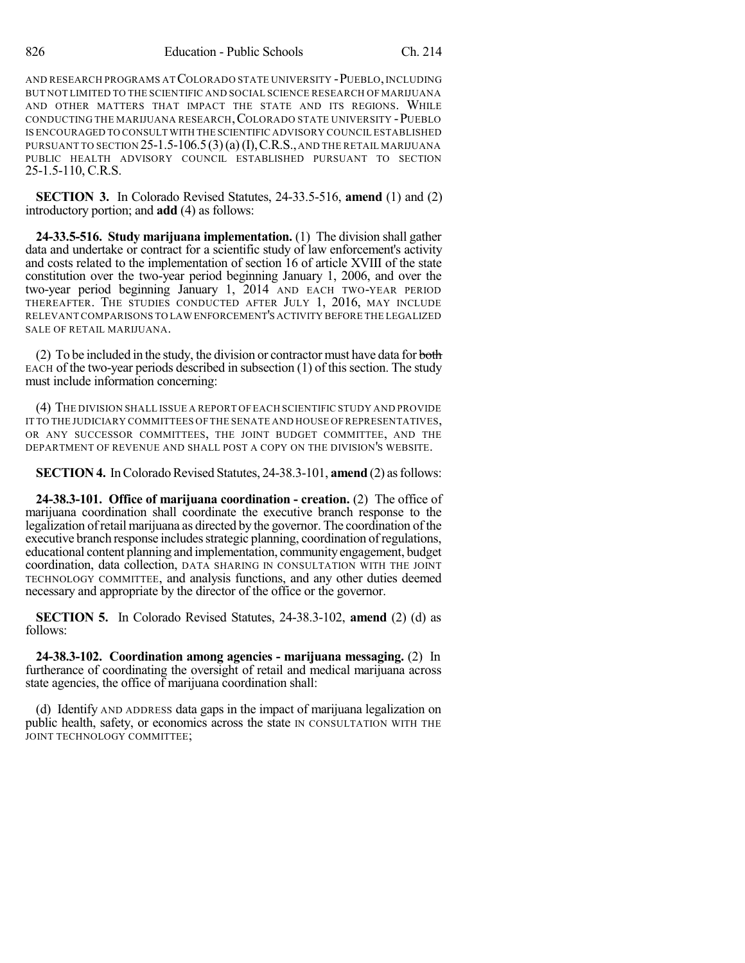AND RESEARCH PROGRAMS ATCOLORADO STATE UNIVERSITY -PUEBLO,INCLUDING BUT NOT LIMITED TO THE SCIENTIFIC AND SOCIAL SCIENCE RESEARCH OF MARIJUANA AND OTHER MATTERS THAT IMPACT THE STATE AND ITS REGIONS. WHILE CONDUCTING THE MARIJUANA RESEARCH, COLORADO STATE UNIVERSITY - PUEBLO IS ENCOURAGED TO CONSULT WITH THE SCIENTIFIC ADVISORY COUNCIL ESTABLISHED PURSUANT TO SECTION  $25$ -1.5-106.5(3)(a)(I), C.R.S., AND THE RETAIL MARIJUANA PUBLIC HEALTH ADVISORY COUNCIL ESTABLISHED PURSUANT TO SECTION 25-1.5-110, C.R.S.

**SECTION 3.** In Colorado Revised Statutes, 24-33.5-516, **amend** (1) and (2) introductory portion; and **add** (4) as follows:

**24-33.5-516. Study marijuana implementation.** (1) The division shall gather data and undertake or contract for a scientific study of law enforcement's activity and costs related to the implementation of section 16 of article XVIII of the state constitution over the two-year period beginning January 1, 2006, and over the two-year period beginning January 1, 2014 AND EACH TWO-YEAR PERIOD THEREAFTER. THE STUDIES CONDUCTED AFTER JULY 1, 2016, MAY INCLUDE RELEVANT COMPARISONS TO LAW ENFORCEMENT'S ACTIVITY BEFORE THE LEGALIZED SALE OF RETAIL MARIJUANA.

(2) To be included in the study, the division or contractor must have data for both  $EACH$  of the two-year periods described in subsection  $(1)$  of this section. The study must include information concerning:

(4) THE DIVISION SHALL ISSUE A REPORT OF EACH SCIENTIFIC STUDY AND PROVIDE IT TO THE JUDICIARY COMMITTEES OF THE SENATE AND HOUSE OF REPRESENTATIVES, OR ANY SUCCESSOR COMMITTEES, THE JOINT BUDGET COMMITTEE, AND THE DEPARTMENT OF REVENUE AND SHALL POST A COPY ON THE DIVISION'S WEBSITE.

**SECTION 4.** In Colorado Revised Statutes, 24-38.3-101, **amend** (2) as follows:

**24-38.3-101. Office of marijuana coordination - creation.** (2) The office of marijuana coordination shall coordinate the executive branch response to the legalization ofretail marijuana as directed by the governor. The coordination of the executive branch response includes strategic planning, coordination of regulations, educational content planning and implementation, community engagement, budget coordination, data collection, DATA SHARING IN CONSULTATION WITH THE JOINT TECHNOLOGY COMMITTEE, and analysis functions, and any other duties deemed necessary and appropriate by the director of the office or the governor.

**SECTION 5.** In Colorado Revised Statutes, 24-38.3-102, **amend** (2) (d) as follows:

**24-38.3-102. Coordination among agencies - marijuana messaging.** (2) In furtherance of coordinating the oversight of retail and medical marijuana across state agencies, the office of marijuana coordination shall:

(d) Identify AND ADDRESS data gaps in the impact of marijuana legalization on public health, safety, or economics across the state IN CONSULTATION WITH THE JOINT TECHNOLOGY COMMITTEE;